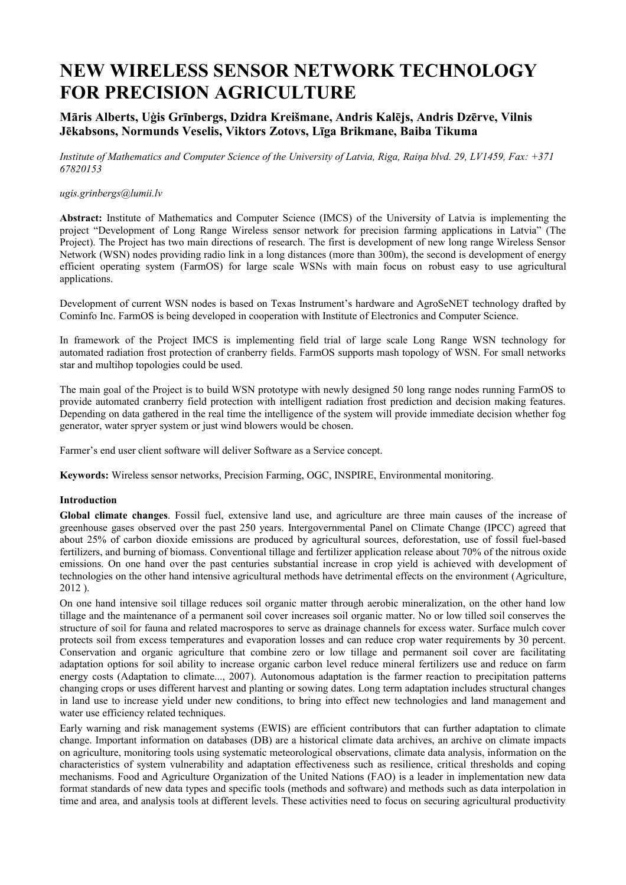# **NEW WIRELESS SENSOR NETWORK TECHNOLOGY FOR PRECISION AGRICULTURE**

# **Māris Alberts, Uģis Grīnbergs, Dzidra Kreišmane, Andris Kalējs, Andris Dzērve, Vilnis Jēkabsons, Normunds Veselis, Viktors Zotovs, Līga Brikmane, Baiba Tikuma**

*Institute of Mathematics and Computer Science of the University of Latvia, Riga, Raiņa blvd. 29, LV1459, Fax: +371 67820153*

#### *ugis.grinbergs@lumii.lv*

**Abstract:** Institute of Mathematics and Computer Science (IMCS) of the University of Latvia is implementing the project "Development of Long Range Wireless sensor network for precision farming applications in Latvia" (The Project). The Project has two main directions of research. The first is development of new long range Wireless Sensor Network (WSN) nodes providing radio link in a long distances (more than 300m), the second is development of energy efficient operating system (FarmOS) for large scale WSNs with main focus on robust easy to use agricultural applications.

Development of current WSN nodes is based on Texas Instrument's hardware and AgroSeNET technology drafted by Cominfo Inc. FarmOS is being developed in cooperation with Institute of Electronics and Computer Science.

In framework of the Project IMCS is implementing field trial of large scale Long Range WSN technology for automated radiation frost protection of cranberry fields. FarmOS supports mash topology of WSN. For small networks star and multihop topologies could be used.

The main goal of the Project is to build WSN prototype with newly designed 50 long range nodes running FarmOS to provide automated cranberry field protection with intelligent radiation frost prediction and decision making features. Depending on data gathered in the real time the intelligence of the system will provide immediate decision whether fog generator, water spryer system or just wind blowers would be chosen.

Farmer's end user client software will deliver Software as a Service concept.

**Keywords:** Wireless sensor networks, Precision Farming, OGC, INSPIRE, Environmental monitoring.

#### **Introduction**

**Global climate changes**. Fossil fuel, extensive land use, and agriculture are three main causes of the increase of greenhouse gases observed over the past 250 years. Intergovernmental Panel on Climate Change (IPCC) agreed that about 25% of carbon dioxide emissions are produced by agricultural sources, deforestation, use of fossil fuel-based fertilizers, and burning of biomass. Conventional tillage and fertilizer application release about 70% of the nitrous oxide emissions. On one hand over the past centuries substantial increase in crop yield is achieved with development of technologies on the other hand intensive agricultural methods have detrimental effects on the environment (Agriculture, 2012 ).

On one hand intensive soil tillage reduces soil organic matter through aerobic mineralization, on the other hand low tillage and the maintenance of a permanent soil cover increases soil organic matter. No or low tilled soil conserves the structure of soil for fauna and related macrospores to serve as drainage channels for excess water. Surface mulch cover protects soil from excess temperatures and evaporation losses and can reduce crop water requirements by 30 percent. Conservation and organic agriculture that combine zero or low tillage and permanent soil cover are facilitating adaptation options for soil ability to increase organic carbon level reduce mineral fertilizers use and reduce on farm energy costs (Adaptation to climate..., 2007). Autonomous adaptation is the farmer reaction to precipitation patterns changing crops or uses different harvest and planting or sowing dates. Long term adaptation includes structural changes in land use to increase yield under new conditions, to bring into effect new technologies and land management and water use efficiency related techniques.

Early warning and risk management systems (EWIS) are efficient contributors that can further adaptation to climate change. Important information on databases (DB) are a historical climate data archives, an archive on climate impacts on agriculture, monitoring tools using systematic meteorological observations, climate data analysis, information on the characteristics of system vulnerability and adaptation effectiveness such as resilience, critical thresholds and coping mechanisms. Food and Agriculture Organization of the United Nations (FAO) is a leader in implementation new data format standards of new data types and specific tools (methods and software) and methods such as data interpolation in time and area, and analysis tools at different levels. These activities need to focus on securing agricultural productivity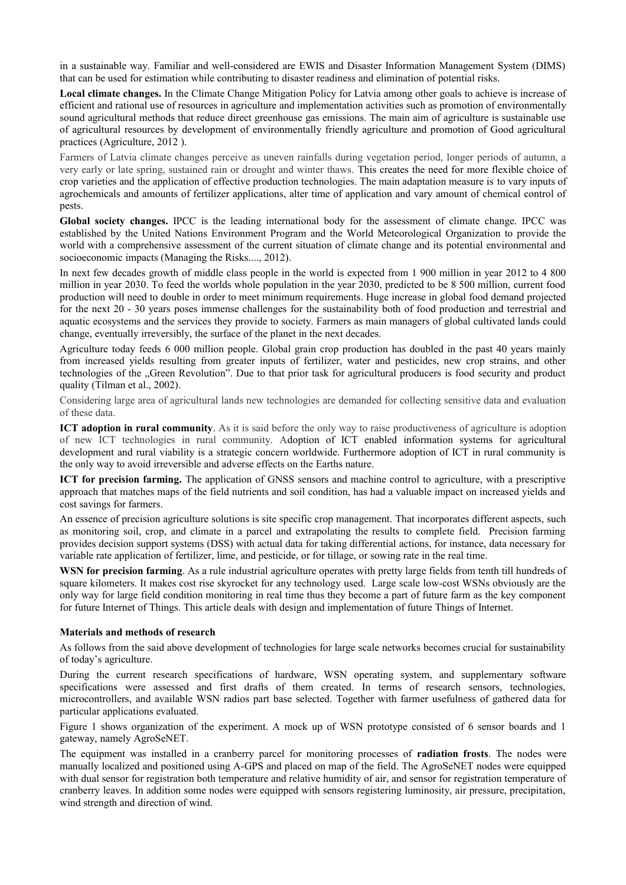in a sustainable way. Familiar and well-considered are EWIS and Disaster Information Management System (DIMS) that can be used for estimation while contributing to disaster readiness and elimination of potential risks.

**Local climate changes.** In the Climate Change Mitigation Policy for Latvia among other goals to achieve is increase of efficient and rational use of resources in agriculture and implementation activities such as promotion of environmentally sound agricultural methods that reduce direct greenhouse gas emissions. The main aim of agriculture is sustainable use of agricultural resources by development of environmentally friendly agriculture and promotion of Good agricultural practices (Agriculture, 2012 ).

Farmers of Latvia climate changes perceive as uneven rainfalls during vegetation period, longer periods of autumn, a very early or late spring, sustained rain or drought and winter thaws. This creates the need for more flexible choice of crop varieties and the application of effective production technologies. The main adaptation measure is to vary inputs of agrochemicals and amounts of fertilizer applications, alter time of application and vary amount of chemical control of pests.

**Global society changes.** IPCC is the leading international body for the assessment of climate change. IPCC was established by the United Nations Environment Program and the World Meteorological Organization to provide the world with a comprehensive assessment of the current situation of climate change and its potential environmental and socioeconomic impacts (Managing the Risks...., 2012).

In next few decades growth of middle class people in the world is expected from 1 900 million in year 2012 to 4 800 million in year 2030. To feed the worlds whole population in the year 2030, predicted to be 8 500 million, current food production will need to double in order to meet minimum requirements. Huge increase in global food demand projected for the next 20 - 30 years poses immense challenges for the sustainability both of food production and terrestrial and aquatic ecosystems and the services they provide to society. Farmers as main managers of global cultivated lands could change, eventually irreversibly, the surface of the planet in the next decades.

Agriculture today feeds 6 000 million people. Global grain crop production has doubled in the past 40 years mainly from increased yields resulting from greater inputs of fertilizer, water and pesticides, new crop strains, and other technologies of the "Green Revolution". Due to that prior task for agricultural producers is food security and product quality (Tilman et al., 2002).

Considering large area of agricultural lands new technologies are demanded for collecting sensitive data and evaluation of these data.

**ICT adoption in rural community**. As it is said before the only way to raise productiveness of agriculture is adoption of new ICT technologies in rural community. Adoption of ICT enabled information systems for agricultural development and rural viability is a strategic concern worldwide. Furthermore adoption of ICT in rural community is the only way to avoid irreversible and adverse effects on the Earths nature.

**ICT for precision farming.** The application of GNSS sensors and machine control to agriculture, with a prescriptive approach that matches maps of the field nutrients and soil condition, has had a valuable impact on increased yields and cost savings for farmers.

An essence of precision agriculture solutions is site specific crop management. That incorporates different aspects, such as monitoring soil, crop, and climate in a parcel and extrapolating the results to complete field. Precision farming provides decision support systems (DSS) with actual data for taking differential actions, for instance, data necessary for variable rate application of fertilizer, lime, and pesticide, or for tillage, or sowing rate in the real time.

**WSN for precision farming**. As a rule industrial agriculture operates with pretty large fields from tenth till hundreds of square kilometers. It makes cost rise skyrocket for any technology used. Large scale low-cost WSNs obviously are the only way for large field condition monitoring in real time thus they become a part of future farm as the key component for future Internet of Things. This article deals with design and implementation of future Things of Internet.

#### **Materials and methods of research**

As follows from the said above development of technologies for large scale networks becomes crucial for sustainability of today's agriculture.

During the current research specifications of hardware, WSN operating system, and supplementary software specifications were assessed and first drafts of them created. In terms of research sensors, technologies, microcontrollers, and available WSN radios part base selected. Together with farmer usefulness of gathered data for particular applications evaluated.

Figure 1 shows organization of the experiment. A mock up of WSN prototype consisted of 6 sensor boards and 1 gateway, namely AgroSeNET.

The equipment was installed in a cranberry parcel for monitoring processes of **radiation frosts**. The nodes were manually localized and positioned using A-GPS and placed on map of the field. The AgroSeNET nodes were equipped with dual sensor for registration both temperature and relative humidity of air, and sensor for registration temperature of cranberry leaves. In addition some nodes were equipped with sensors registering luminosity, air pressure, precipitation, wind strength and direction of wind.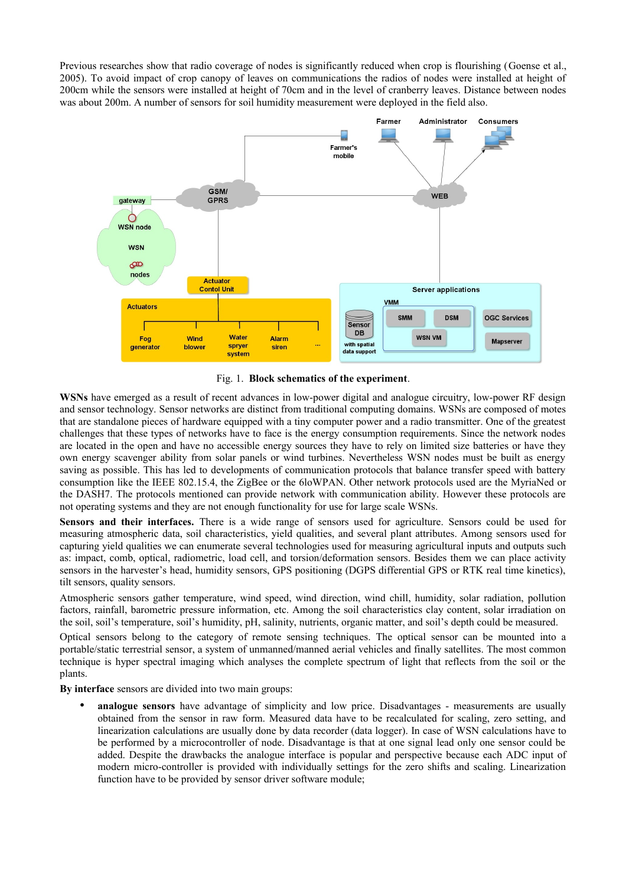Previous researches show that radio coverage of nodes is significantly reduced when crop is flourishing (Goense et al., 2005). To avoid impact of crop canopy of leaves on communications the radios of nodes were installed at height of 200cm while the sensors were installed at height of 70cm and in the level of cranberry leaves. Distance between nodes was about 200m. A number of sensors for soil humidity measurement were deployed in the field also.



Fig. 1. **Block schematics of the experiment**.

**WSNs** have emerged as a result of recent advances in low-power digital and analogue circuitry, low-power RF design and sensor technology. Sensor networks are distinct from traditional computing domains. WSNs are composed of motes that are standalone pieces of hardware equipped with a tiny computer power and a radio transmitter. One of the greatest challenges that these types of networks have to face is the energy consumption requirements. Since the network nodes are located in the open and have no accessible energy sources they have to rely on limited size batteries or have they own energy scavenger ability from solar panels or wind turbines. Nevertheless WSN nodes must be built as energy saving as possible. This has led to developments of communication protocols that balance transfer speed with battery consumption like the IEEE 802.15.4, the ZigBee or the 6loWPAN. Other network protocols used are the MyriaNed or the DASH7. The protocols mentioned can provide network with communication ability. However these protocols are not operating systems and they are not enough functionality for use for large scale WSNs.

**Sensors and their interfaces.** There is a wide range of sensors used for agriculture. Sensors could be used for measuring atmospheric data, soil characteristics, yield qualities, and several plant attributes. Among sensors used for capturing yield qualities we can enumerate several technologies used for measuring agricultural inputs and outputs such as: impact, comb, optical, radiometric, load cell, and torsion/deformation sensors. Besides them we can place activity sensors in the harvester's head, humidity sensors, GPS positioning (DGPS differential GPS or RTK real time kinetics), tilt sensors, quality sensors.

Atmospheric sensors gather temperature, wind speed, wind direction, wind chill, humidity, solar radiation, pollution factors, rainfall, barometric pressure information, etc. Among the soil characteristics clay content, solar irradiation on the soil, soil's temperature, soil's humidity, pH, salinity, nutrients, organic matter, and soil's depth could be measured.

Optical sensors belong to the category of remote sensing techniques. The optical sensor can be mounted into a portable/static terrestrial sensor, a system of unmanned/manned aerial vehicles and finally satellites. The most common technique is hyper spectral imaging which analyses the complete spectrum of light that reflects from the soil or the plants.

**By interface** sensors are divided into two main groups:

• **analogue sensors** have advantage of simplicity and low price. Disadvantages - measurements are usually obtained from the sensor in raw form. Measured data have to be recalculated for scaling, zero setting, and linearization calculations are usually done by data recorder (data logger). In case of WSN calculations have to be performed by a microcontroller of node. Disadvantage is that at one signal lead only one sensor could be added. Despite the drawbacks the analogue interface is popular and perspective because each ADC input of modern micro-controller is provided with individually settings for the zero shifts and scaling. Linearization function have to be provided by sensor driver software module;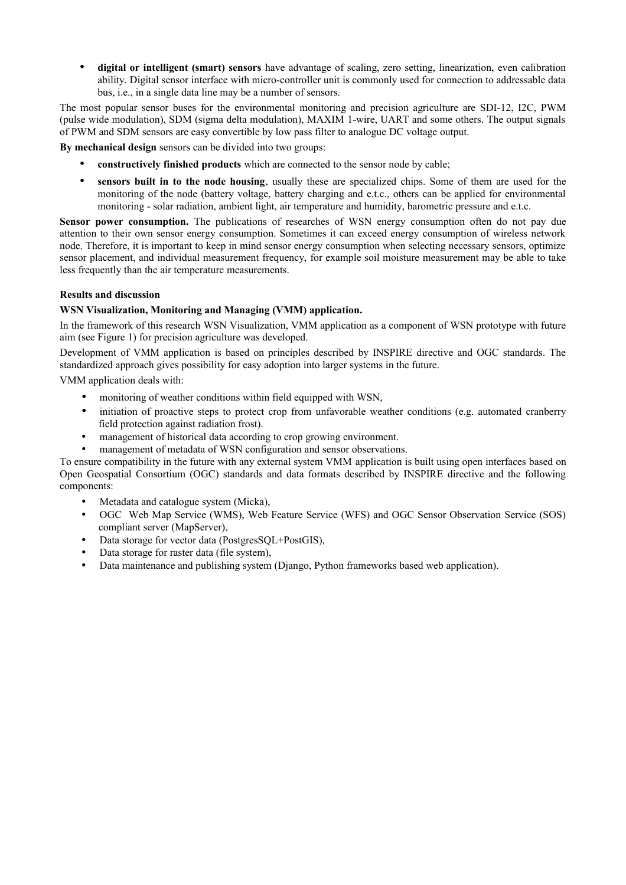• **digital or intelligent (smart) sensors** have advantage of scaling, zero setting, linearization, even calibration ability. Digital sensor interface with micro-controller unit is commonly used for connection to addressable data bus, i.e., in a single data line may be a number of sensors.

The most popular sensor buses for the environmental monitoring and precision agriculture are SDI-12, I2C, PWM (pulse wide modulation), SDM (sigma delta modulation), MAXIM 1-wire, UART and some others. The output signals of PWM and SDM sensors are easy convertible by low pass filter to analogue DC voltage output.

**By mechanical design** sensors can be divided into two groups:

- **constructively finished products** which are connected to the sensor node by cable;
- **sensors built in to the node housing**, usually these are specialized chips. Some of them are used for the monitoring of the node (battery voltage, battery charging and e.t.c., others can be applied for environmental monitoring - solar radiation, ambient light, air temperature and humidity, barometric pressure and e.t.c.

**Sensor power consumption.** The publications of researches of WSN energy consumption often do not pay due attention to their own sensor energy consumption. Sometimes it can exceed energy consumption of wireless network node. Therefore, it is important to keep in mind sensor energy consumption when selecting necessary sensors, optimize sensor placement, and individual measurement frequency, for example soil moisture measurement may be able to take less frequently than the air temperature measurements.

# **Results and discussion**

## **WSN Visualization, Monitoring and Managing (VMM) application.**

In the framework of this research WSN Visualization, VMM application as a component of WSN prototype with future aim (see Figure 1) for precision agriculture was developed.

Development of VMM application is based on principles described by INSPIRE directive and OGC standards. The standardized approach gives possibility for easy adoption into larger systems in the future.

VMM application deals with:

- monitoring of weather conditions within field equipped with WSN,
- initiation of proactive steps to protect crop from unfavorable weather conditions (e.g. automated cranberry field protection against radiation frost).
- management of historical data according to crop growing environment.
- management of metadata of WSN configuration and sensor observations.

To ensure compatibility in the future with any external system VMM application is built using open interfaces based on Open Geospatial Consortium (OGC) standards and data formats described by INSPIRE directive and the following components:

- Metadata and catalogue system (Micka),
- OGC Web Map Service (WMS), Web Feature Service (WFS) and OGC Sensor Observation Service (SOS) compliant server (MapServer),
- Data storage for vector data (PostgresSQL+PostGIS),
- Data storage for raster data (file system),
- Data maintenance and publishing system (Django, Python frameworks based web application).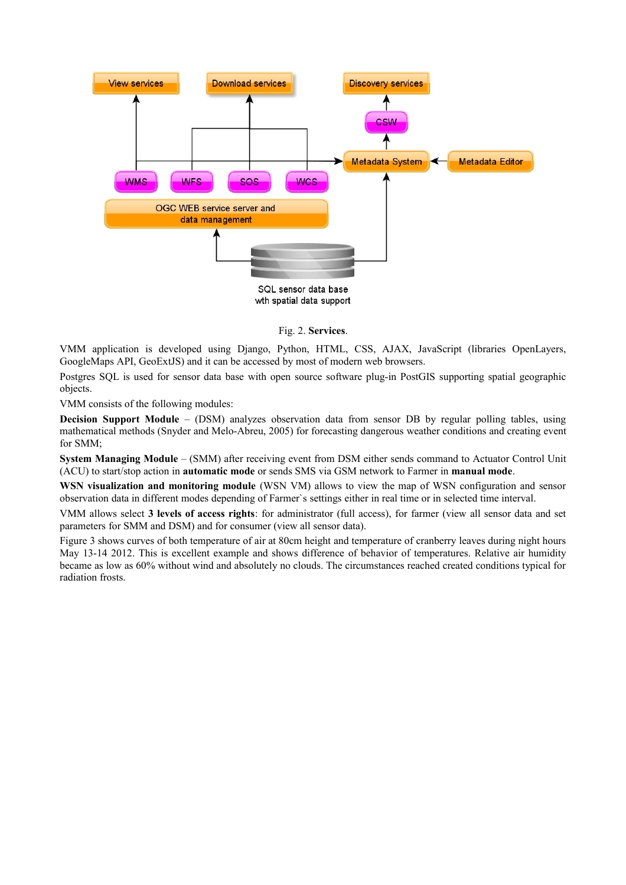

#### Fig. 2. **Services**.

VMM application is developed using Django, Python, HTML, CSS, AJAX, JavaScript (libraries OpenLayers, GoogleMaps API, GeoExtJS) and it can be accessed by most of modern web browsers.

Postgres SQL is used for sensor data base with open source software plug-in PostGIS supporting spatial geographic objects.

VMM consists of the following modules:

**Decision Support Module** – (DSM) analyzes observation data from sensor DB by regular polling tables, using mathematical methods (Snyder and Melo-Abreu, 2005) for forecasting dangerous weather conditions and creating event for SMM;

**System Managing Module** – (SMM) after receiving event from DSM either sends command to Actuator Control Unit (ACU) to start/stop action in **automatic mode** or sends SMS via GSM network to Farmer in **manual mode**.

**WSN visualization and monitoring module** (WSN VM) allows to view the map of WSN configuration and sensor observation data in different modes depending of Farmer`s settings either in real time or in selected time interval.

VMM allows select **3 levels of access rights**: for administrator (full access), for farmer (view all sensor data and set parameters for SMM and DSM) and for consumer (view all sensor data).

Figure 3 shows curves of both temperature of air at 80cm height and temperature of cranberry leaves during night hours May 13-14 2012. This is excellent example and shows difference of behavior of temperatures. Relative air humidity became as low as 60% without wind and absolutely no clouds. The circumstances reached created conditions typical for radiation frosts.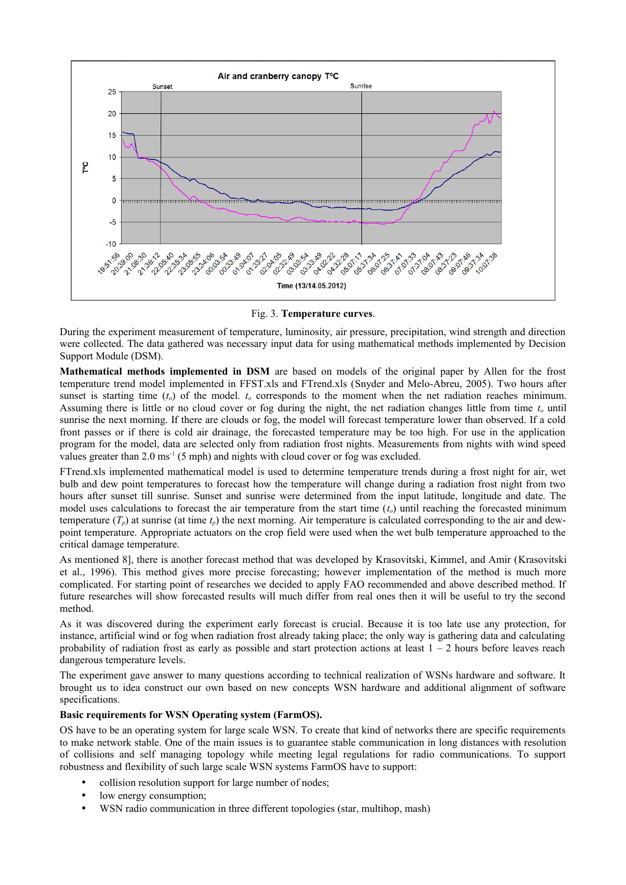

Fig. 3. **Temperature curves**.

During the experiment measurement of temperature, luminosity, air pressure, precipitation, wind strength and direction were collected. The data gathered was necessary input data for using mathematical methods implemented by Decision Support Module (DSM).

**Mathematical methods implemented in DSM** are based on models of the original paper by Allen for the frost temperature trend model implemented in FFST.xls and FTrend.xls (Snyder and Melo-Abreu, 2005). Two hours after sunset is starting time  $(t_o)$  of the model.  $t_o$  corresponds to the moment when the net radiation reaches minimum. Assuming there is little or no cloud cover or fog during the night, the net radiation changes little from time *t<sup>o</sup>* until sunrise the next morning. If there are clouds or fog, the model will forecast temperature lower than observed. If a cold front passes or if there is cold air drainage, the forecasted temperature may be too high. For use in the application program for the model, data are selected only from radiation frost nights. Measurements from nights with wind speed values greater than  $2.0 \text{ ms}^{-1}$  (5 mph) and nights with cloud cover or fog was excluded.

FTrend.xls implemented mathematical model is used to determine temperature trends during a frost night for air, wet bulb and dew point temperatures to forecast how the temperature will change during a radiation frost night from two hours after sunset till sunrise. Sunset and sunrise were determined from the input latitude, longitude and date. The model uses calculations to forecast the air temperature from the start time (*to*) until reaching the forecasted minimum temperature  $(T_p)$  at sunrise (at time  $t_p$ ) the next morning. Air temperature is calculated corresponding to the air and dewpoint temperature. Appropriate actuators on the crop field were used when the wet bulb temperature approached to the critical damage temperature.

As mentioned 8], there is another forecast method that was developed by Krasovitski, Kimmel, and Amir (Krasovitski et al., 1996). This method gives more precise forecasting; however implementation of the method is much more complicated. For starting point of researches we decided to apply FAO recommended and above described method. If future researches will show forecasted results will much differ from real ones then it will be useful to try the second method.

As it was discovered during the experiment early forecast is crucial. Because it is too late use any protection, for instance, artificial wind or fog when radiation frost already taking place; the only way is gathering data and calculating probability of radiation frost as early as possible and start protection actions at least  $1 - 2$  hours before leaves reach dangerous temperature levels.

The experiment gave answer to many questions according to technical realization of WSNs hardware and software. It brought us to idea construct our own based on new concepts WSN hardware and additional alignment of software specifications.

#### **Basic requirements for WSN Operating system (FarmOS).**

OS have to be an operating system for large scale WSN. To create that kind of networks there are specific requirements to make network stable. One of the main issues is to guarantee stable communication in long distances with resolution of collisions and self managing topology while meeting legal regulations for radio communications. To support robustness and flexibility of such large scale WSN systems FarmOS have to support:

- collision resolution support for large number of nodes;
- low energy consumption;
- WSN radio communication in three different topologies (star, multihop, mash)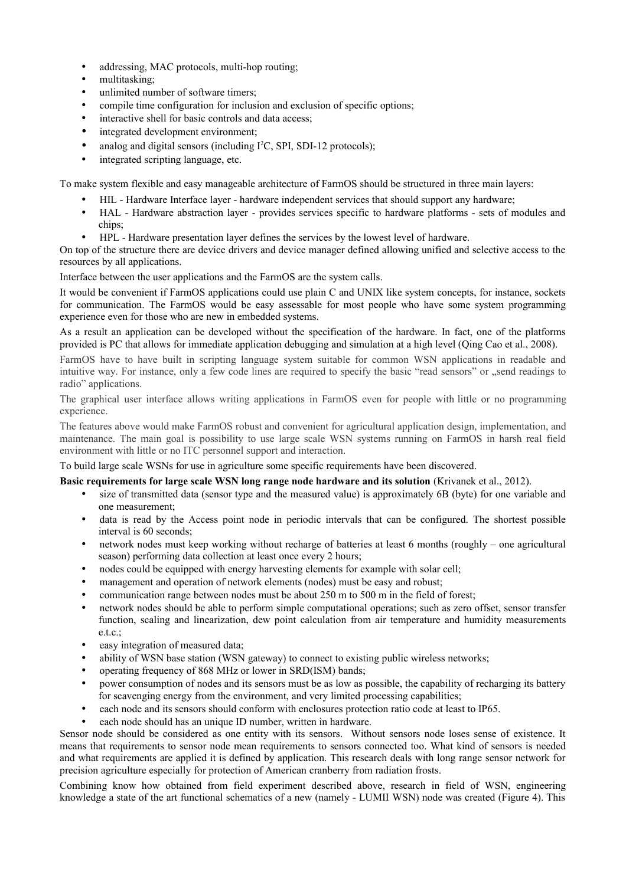- addressing, MAC protocols, multi-hop routing;
- multitasking;
- unlimited number of software timers;
- compile time configuration for inclusion and exclusion of specific options;
- interactive shell for basic controls and data access;
- integrated development environment;
- analog and digital sensors (including  $I^2C$ , SPI, SDI-12 protocols);
- integrated scripting language, etc.

To make system flexible and easy manageable architecture of FarmOS should be structured in three main layers:

- HIL Hardware Interface layer hardware independent services that should support any hardware;
- HAL Hardware abstraction layer provides services specific to hardware platforms sets of modules and chips;
- HPL Hardware presentation layer defines the services by the lowest level of hardware.

On top of the structure there are device drivers and device manager defined allowing unified and selective access to the resources by all applications.

Interface between the user applications and the FarmOS are the system calls.

It would be convenient if FarmOS applications could use plain C and UNIX like system concepts, for instance, sockets for communication. The FarmOS would be easy assessable for most people who have some system programming experience even for those who are new in embedded systems.

As a result an application can be developed without the specification of the hardware. In fact, one of the platforms provided is PC that allows for immediate application debugging and simulation at a high level (Qing Cao et al., 2008).

FarmOS have to have built in scripting language system suitable for common WSN applications in readable and intuitive way. For instance, only a few code lines are required to specify the basic "read sensors" or .,send readings to radio" applications.

The graphical user interface allows writing applications in FarmOS even for people with little or no programming experience.

The features above would make FarmOS robust and convenient for agricultural application design, implementation, and maintenance. The main goal is possibility to use large scale WSN systems running on FarmOS in harsh real field environment with little or no ITC personnel support and interaction.

To build large scale WSNs for use in agriculture some specific requirements have been discovered.

### **Basic requirements for large scale WSN long range node hardware and its solution** (Krivanek et al., 2012).

- size of transmitted data (sensor type and the measured value) is approximately 6B (byte) for one variable and one measurement;
- data is read by the Access point node in periodic intervals that can be configured. The shortest possible interval is 60 seconds;
- network nodes must keep working without recharge of batteries at least 6 months (roughly one agricultural season) performing data collection at least once every 2 hours;
- nodes could be equipped with energy harvesting elements for example with solar cell;
- management and operation of network elements (nodes) must be easy and robust;
- communication range between nodes must be about 250 m to 500 m in the field of forest;
- network nodes should be able to perform simple computational operations; such as zero offset, sensor transfer function, scaling and linearization, dew point calculation from air temperature and humidity measurements e.t.c.;
- easy integration of measured data;
- ability of WSN base station (WSN gateway) to connect to existing public wireless networks;
- operating frequency of 868 MHz or lower in SRD(ISM) bands;
- power consumption of nodes and its sensors must be as low as possible, the capability of recharging its battery for scavenging energy from the environment, and very limited processing capabilities;
- each node and its sensors should conform with enclosures protection ratio code at least to IP65.
- each node should has an unique ID number, written in hardware.

Sensor node should be considered as one entity with its sensors. Without sensors node loses sense of existence. It means that requirements to sensor node mean requirements to sensors connected too. What kind of sensors is needed and what requirements are applied it is defined by application. This research deals with long range sensor network for precision agriculture especially for protection of American cranberry from radiation frosts.

Combining know how obtained from field experiment described above, research in field of WSN, engineering knowledge a state of the art functional schematics of a new (namely - LUMII WSN) node was created (Figure 4). This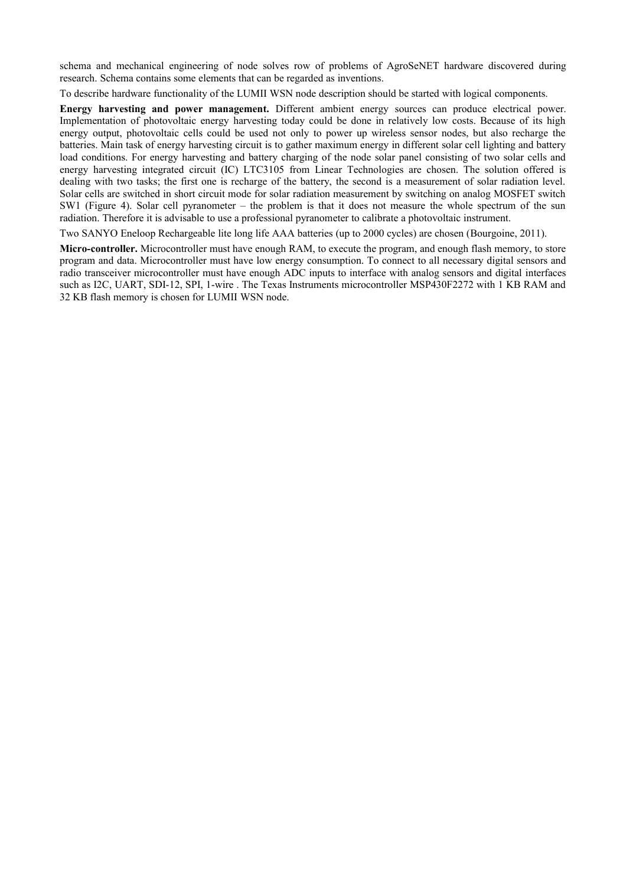schema and mechanical engineering of node solves row of problems of AgroSeNET hardware discovered during research. Schema contains some elements that can be regarded as inventions.

To describe hardware functionality of the LUMII WSN node description should be started with logical components.

**Energy harvesting and power management.** Different ambient energy sources can produce electrical power. Implementation of photovoltaic energy harvesting today could be done in relatively low costs. Because of its high energy output, photovoltaic cells could be used not only to power up wireless sensor nodes, but also recharge the batteries. Main task of energy harvesting circuit is to gather maximum energy in different solar cell lighting and battery load conditions. For energy harvesting and battery charging of the node solar panel consisting of two solar cells and energy harvesting integrated circuit (IC) LTC3105 from Linear Technologies are chosen. The solution offered is dealing with two tasks; the first one is recharge of the battery, the second is a measurement of solar radiation level. Solar cells are switched in short circuit mode for solar radiation measurement by switching on analog MOSFET switch SW1 (Figure 4). Solar cell pyranometer – the problem is that it does not measure the whole spectrum of the sun radiation. Therefore it is advisable to use a professional pyranometer to calibrate a photovoltaic instrument.

Two SANYO Eneloop Rechargeable lite long life AAA batteries (up to 2000 cycles) are chosen (Bourgoine, 2011).

**Micro-controller.** Microcontroller must have enough RAM, to execute the program, and enough flash memory, to store program and data. Microcontroller must have low energy consumption. To connect to all necessary digital sensors and radio transceiver microcontroller must have enough ADC inputs to interface with analog sensors and digital interfaces such as I2C, UART, SDI-12, SPI, 1-wire . The Texas Instruments microcontroller MSP430F2272 with 1 KB RAM and 32 KB flash memory is chosen for LUMII WSN node.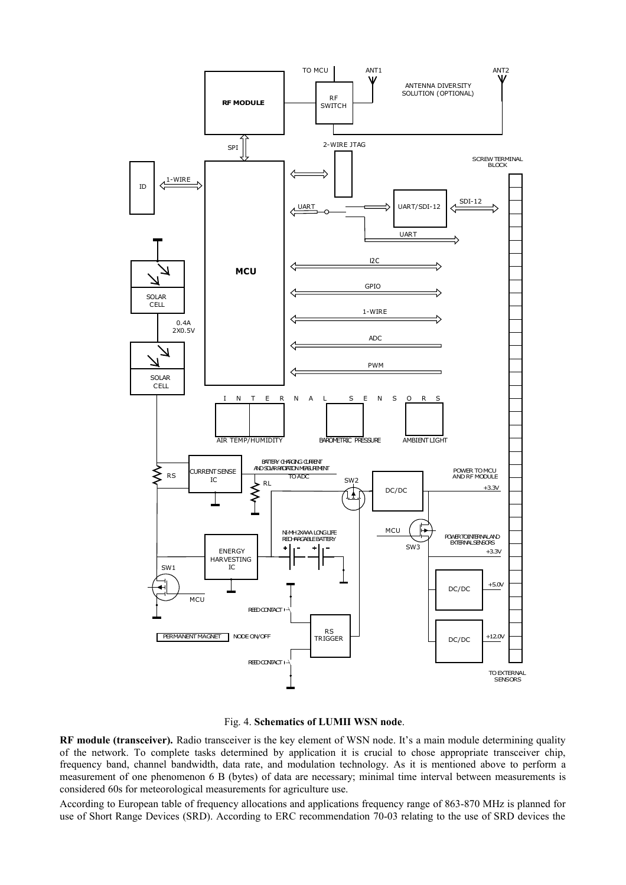



**RF module (transceiver).** Radio transceiver is the key element of WSN node. It's a main module determining quality of the network. To complete tasks determined by application it is crucial to chose appropriate transceiver chip, frequency band, channel bandwidth, data rate, and modulation technology. As it is mentioned above to perform a measurement of one phenomenon 6 B (bytes) of data are necessary; minimal time interval between measurements is considered 60s for meteorological measurements for agriculture use.

According to European table of frequency allocations and applications frequency range of 863-870 MHz is planned for use of Short Range Devices (SRD). According to ERC recommendation 70-03 relating to the use of SRD devices the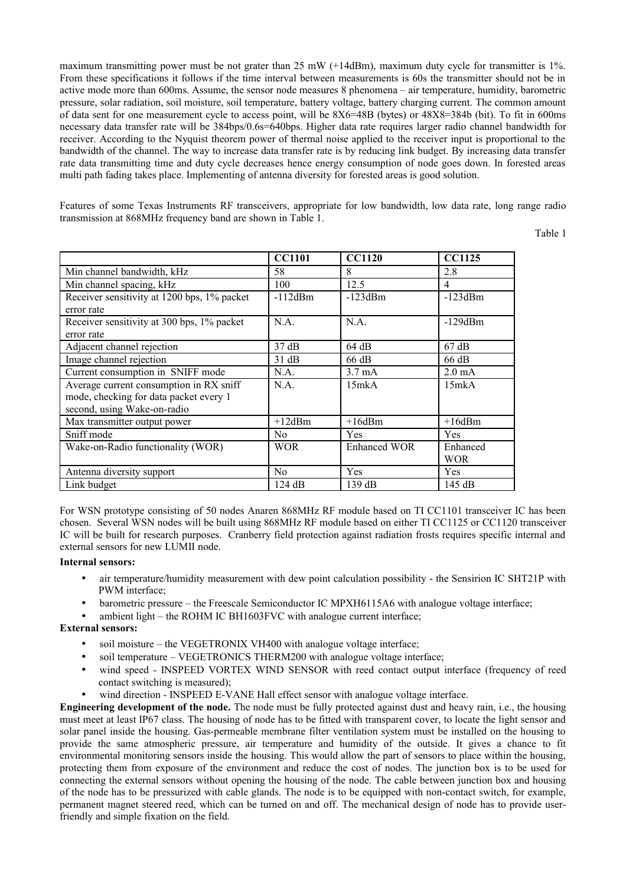maximum transmitting power must be not grater than 25 mW (+14dBm), maximum duty cycle for transmitter is 1%. From these specifications it follows if the time interval between measurements is 60s the transmitter should not be in active mode more than 600ms. Assume, the sensor node measures 8 phenomena – air temperature, humidity, barometric pressure, solar radiation, soil moisture, soil temperature, battery voltage, battery charging current. The common amount of data sent for one measurement cycle to access point, will be 8X6=48B (bytes) or 48X8=384b (bit). To fit in 600ms necessary data transfer rate will be 384bps/0.6s=640bps. Higher data rate requires larger radio channel bandwidth for receiver. According to the Nyquist theorem power of thermal noise applied to the receiver input is proportional to the bandwidth of the channel. The way to increase data transfer rate is by reducing link budget. By increasing data transfer rate data transmitting time and duty cycle decreases hence energy consumption of node goes down. In forested areas multi path fading takes place. Implementing of antenna diversity for forested areas is good solution.

Features of some Texas Instruments RF transceivers, appropriate for low bandwidth, low data rate, long range radio transmission at 868MHz frequency band are shown in Table 1.

Table 1

|                                             | <b>CC1101</b>   | <b>CC1120</b>    | <b>CC1125</b>    |
|---------------------------------------------|-----------------|------------------|------------------|
| Min channel bandwidth, kHz                  | 58              | 8                | 2.8              |
| Min channel spacing, kHz                    | 100             | 12.5             | 4                |
| Receiver sensitivity at 1200 bps, 1% packet | $-112dBm$       | $-123dBm$        | $-123dBm$        |
| error rate                                  |                 |                  |                  |
| Receiver sensitivity at 300 bps, 1% packet  | N.A.            | N.A.             | $-129dBm$        |
| error rate                                  |                 |                  |                  |
| Adjacent channel rejection                  | $37 \text{ dB}$ | 64 dB            | $67 \text{ dB}$  |
| Image channel rejection                     | 31 dB           | 66 dB            | 66 dB            |
| Current consumption in SNIFF mode           | N.A.            | $3.7 \text{ mA}$ | $2.0 \text{ mA}$ |
| Average current consumption in RX sniff     | N.A.            | 15mkA            | 15mkA            |
| mode, checking for data packet every 1      |                 |                  |                  |
| second, using Wake-on-radio                 |                 |                  |                  |
| Max transmitter output power                | $+12$ dBm       | $+16$ dBm        | $+16$ dBm        |
| Sniff mode                                  | N <sub>0</sub>  | Yes              | Yes              |
| Wake-on-Radio functionality (WOR)           | <b>WOR</b>      | Enhanced WOR     | Enhanced         |
|                                             |                 |                  | WOR.             |
| Antenna diversity support                   | No              | <b>Yes</b>       | <b>Yes</b>       |
| Link budget                                 | 124 dB          | 139 dB           | 145 dB           |

For WSN prototype consisting of 50 nodes Anaren 868MHz RF module based on TI CC1101 transceiver IC has been chosen. Several WSN nodes will be built using 868MHz RF module based on either TI CC1125 or CC1120 transceiver IC will be built for research purposes. Cranberry field protection against radiation frosts requires specific internal and external sensors for new LUMII node.

#### **Internal sensors:**

- air temperature/humidity measurement with dew point calculation possibility the Sensirion IC SHT21P with PWM interface;
- barometric pressure the Freescale Semiconductor IC MPXH6115A6 with analogue voltage interface;
- ambient light the ROHM IC BH1603FVC with analogue current interface;

#### **External sensors:**

- soil moisture the VEGETRONIX VH400 with analogue voltage interface;
- soil temperature VEGETRONICS THERM200 with analogue voltage interface;
- wind speed INSPEED VORTEX WIND SENSOR with reed contact output interface (frequency of reed contact switching is measured);
- wind direction INSPEED E-VANE Hall effect sensor with analogue voltage interface.

**Engineering development of the node.** The node must be fully protected against dust and heavy rain, i.e., the housing must meet at least IP67 class. The housing of node has to be fitted with transparent cover, to locate the light sensor and solar panel inside the housing. Gas-permeable membrane filter ventilation system must be installed on the housing to provide the same atmospheric pressure, air temperature and humidity of the outside. It gives a chance to fit environmental monitoring sensors inside the housing. This would allow the part of sensors to place within the housing, protecting them from exposure of the environment and reduce the cost of nodes. The junction box is to be used for connecting the external sensors without opening the housing of the node. The cable between junction box and housing of the node has to be pressurized with cable glands. The node is to be equipped with non-contact switch, for example, permanent magnet steered reed, which can be turned on and off. The mechanical design of node has to provide userfriendly and simple fixation on the field.